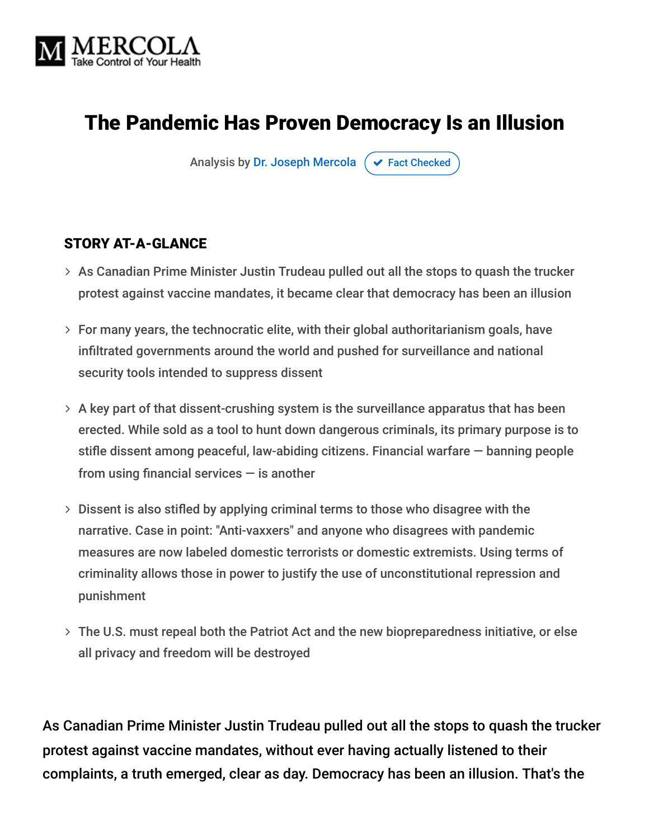

## The Pandemic Has Proven Democracy Is an Illusion

Analysis by [Dr. Joseph Mercola](https://www.mercola.com/forms/background.htm)  $\sigma$  [Fact Checked](javascript:void(0))

#### STORY AT-A-GLANCE

- $>$  As Canadian Prime Minister Justin Trudeau pulled out all the stops to quash the trucker protest against vaccine mandates, it became clear that democracy has been an illusion
- $>$  For many years, the technocratic elite, with their global authoritarianism goals, have infiltrated governments around the world and pushed for surveillance and national security tools intended to suppress dissent
- $>$  A key part of that dissent-crushing system is the surveillance apparatus that has been erected. While sold as a tool to hunt down dangerous criminals, its primary purpose is to stifle dissent among peaceful, law-abiding citizens. Financial warfare — banning people from using financial services  $-$  is another
- $>$  Dissent is also stifled by applying criminal terms to those who disagree with the narrative. Case in point: "Anti-vaxxers" and anyone who disagrees with pandemic measures are now labeled domestic terrorists or domestic extremists. Using terms of criminality allows those in power to justify the use of unconstitutional repression and punishment
- The U.S. must repeal both the Patriot Act and the new biopreparedness initiative, or else all privacy and freedom will be destroyed

As Canadian Prime Minister Justin Trudeau pulled out all the stops to quash the trucker protest against vaccine mandates, without ever having actually listened to their complaints, a truth emerged, clear as day. Democracy has been an illusion. That's the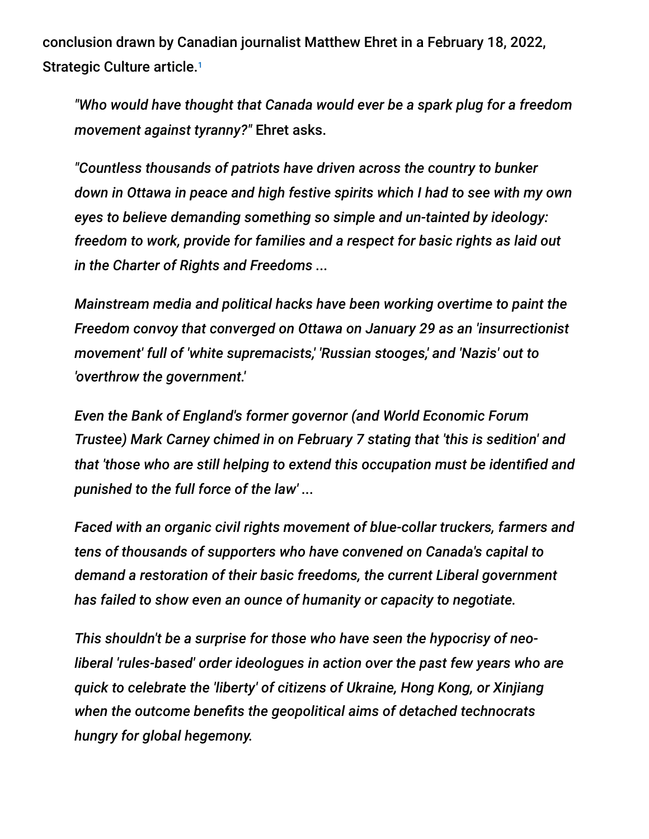conclusion drawn by Canadian journalist Matthew Ehret in a February 18, 2022, Strategic Culture article.<sup>1</sup>

*"Who would have thought that Canada would ever be a spark plug for a freedom movement against tyranny?"* Ehret asks.

*"Countless thousands of patriots have driven across the country to bunker down in Ottawa in peace and high festive spirits which I had to see with my own eyes to believe demanding something so simple and un-tainted by ideology: freedom to work, provide for families and a respect for basic rights as laid out in the Charter of Rights and Freedoms ...*

*Mainstream media and political hacks have been working overtime to paint the Freedom convoy that converged on Ottawa on January 29 as an 'insurrectionist movement' full of 'white supremacists,' 'Russian stooges,' and 'Nazis' out to 'overthrow the government.'*

*Even the Bank of England's former governor (and World Economic Forum Trustee) Mark Carney chimed in on February 7 stating that 'this is sedition' and that 'those who are still helping to extend this occupation must be identified and punished to the full force of the law' ...*

*Faced with an organic civil rights movement of blue-collar truckers, farmers and tens of thousands of supporters who have convened on Canada's capital to demand a restoration of their basic freedoms, the current Liberal government has failed to show even an ounce of humanity or capacity to negotiate.*

*This shouldn't be a surprise for those who have seen the hypocrisy of neoliberal 'rules-based' order ideologues in action over the past few years who are quick to celebrate the 'liberty' of citizens of Ukraine, Hong Kong, or Xinjiang when the outcome benefits the geopolitical aims of detached technocrats hungry for global hegemony.*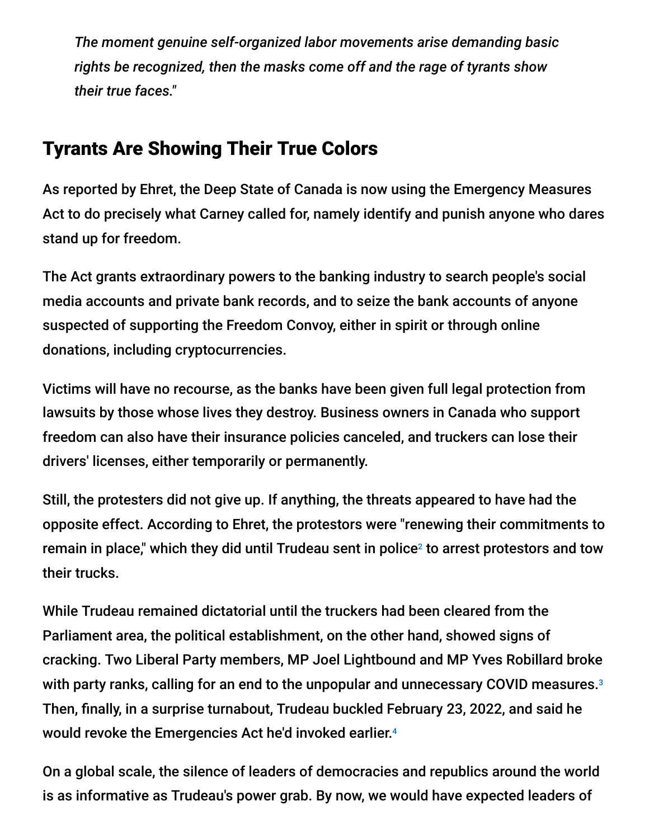*The moment genuine self-organized labor movements arise demanding basic rights be recognized, then the masks come off and the rage of tyrants show their true faces."*

## Tyrants Are Showing Their True Colors

As reported by Ehret, the Deep State of Canada is now using the Emergency Measures Act to do precisely what Carney called for, namely identify and punish anyone who dares stand up for freedom.

The Act grants extraordinary powers to the banking industry to search people's social media accounts and private bank records, and to seize the bank accounts of anyone suspected of supporting the Freedom Convoy, either in spirit or through online donations, including cryptocurrencies.

Victims will have no recourse, as the banks have been given full legal protection from lawsuits by those whose lives they destroy. Business owners in Canada who support freedom can also have their insurance policies canceled, and truckers can lose their drivers' licenses, either temporarily or permanently.

Still, the protesters did not give up. If anything, the threats appeared to have had the opposite effect. According to Ehret, the protestors were "renewing their commitments to remain in place," which they did until Trudeau sent in police<sup>2</sup> to arrest protestors and tow their trucks.

While Trudeau remained dictatorial until the truckers had been cleared from the Parliament area, the political establishment, on the other hand, showed signs of cracking. Two Liberal Party members, MP Joel Lightbound and MP Yves Robillard broke with party ranks, calling for an end to the unpopular and unnecessary COVID measures. 3 Then, finally, in a surprise turnabout, Trudeau buckled February 23, 2022, and said he would revoke the Emergencies Act he'd invoked earlier. 4

On a global scale, the silence of leaders of democracies and republics around the world is as informative as Trudeau's power grab. By now, we would have expected leaders of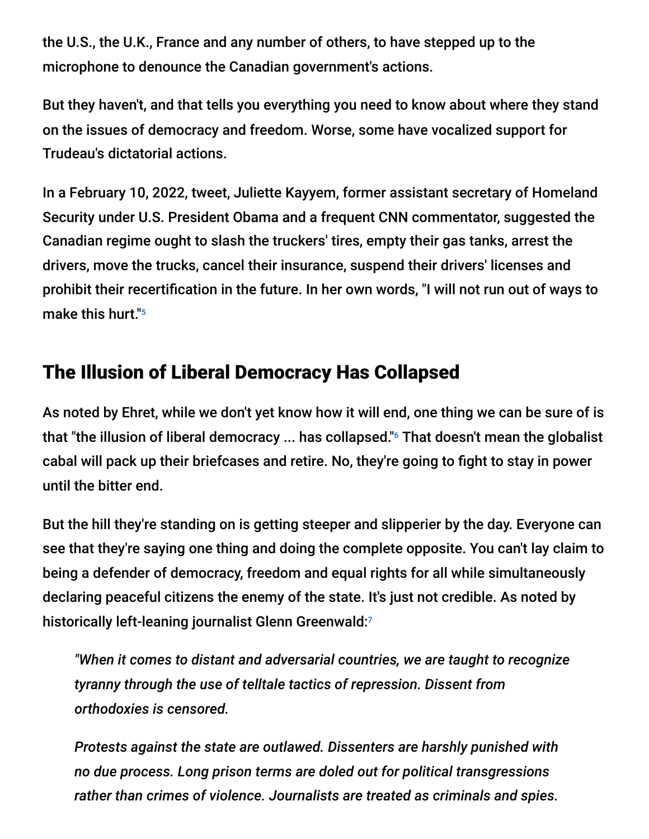the U.S., the U.K., France and any number of others, to have stepped up to the microphone to denounce the Canadian government's actions.

But they haven't, and that tells you everything you need to know about where they stand on the issues of democracy and freedom. Worse, some have vocalized support for Trudeau's dictatorial actions.

In a February 10, 2022, tweet, Juliette Kayyem, former assistant secretary of Homeland Security under U.S. President Obama and a frequent CNN commentator, suggested the Canadian regime ought to slash the truckers' tires, empty their gas tanks, arrest the drivers, move the trucks, cancel their insurance, suspend their drivers' licenses and prohibit their recertification in the future. In her own words, "I will not run out of ways to make this hurt." 5

## The Illusion of Liberal Democracy Has Collapsed

As noted by Ehret, while we don't yet know how it will end, one thing we can be sure of is that "the illusion of liberal democracy ... has collapsed."<sup>6</sup> That doesn't mean the globalist cabal will pack up their briefcases and retire. No, they're going to fight to stay in power until the bitter end.

But the hill they're standing on is getting steeper and slipperier by the day. Everyone can see that they're saying one thing and doing the complete opposite. You can't lay claim to being a defender of democracy, freedom and equal rights for all while simultaneously declaring peaceful citizens the enemy of the state. It's just not credible. As noted by historically left-leaning journalist Glenn Greenwald: 7

*"When it comes to distant and adversarial countries, we are taught to recognize tyranny through the use of telltale tactics of repression. Dissent from orthodoxies is censored.*

*Protests against the state are outlawed. Dissenters are harshly punished with no due process. Long prison terms are doled out for political transgressions rather than crimes of violence. Journalists are treated as criminals and spies.*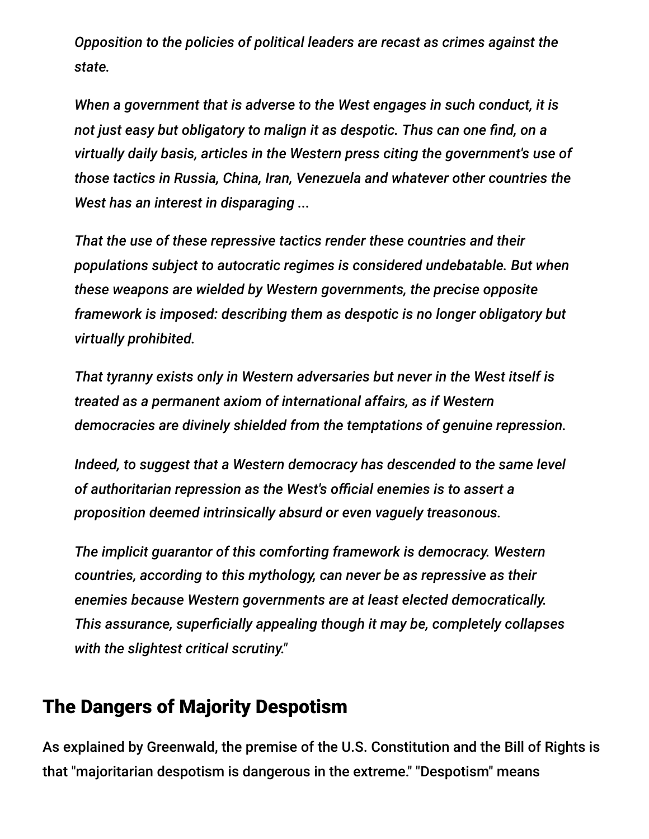*Opposition to the policies of political leaders are recast as crimes against the state.*

*When a government that is adverse to the West engages in such conduct, it is not just easy but obligatory to malign it as despotic. Thus can one find, on a virtually daily basis, articles in the Western press citing the government's use of those tactics in Russia, China, Iran, Venezuela and whatever other countries the West has an interest in disparaging ...*

*That the use of these repressive tactics render these countries and their populations subject to autocratic regimes is considered undebatable. But when these weapons are wielded by Western governments, the precise opposite framework is imposed: describing them as despotic is no longer obligatory but virtually prohibited.*

*That tyranny exists only in Western adversaries but never in the West itself is treated as a permanent axiom of international affairs, as if Western democracies are divinely shielded from the temptations of genuine repression.*

*Indeed, to suggest that a Western democracy has descended to the same level of authoritarian repression as the West's official enemies is to assert a proposition deemed intrinsically absurd or even vaguely treasonous.*

*The implicit guarantor of this comforting framework is democracy. Western countries, according to this mythology, can never be as repressive as their enemies because Western governments are at least elected democratically. This assurance, superficially appealing though it may be, completely collapses with the slightest critical scrutiny."*

#### The Dangers of Majority Despotism

As explained by Greenwald, the premise of the U.S. Constitution and the Bill of Rights is that "majoritarian despotism is dangerous in the extreme." "Despotism" means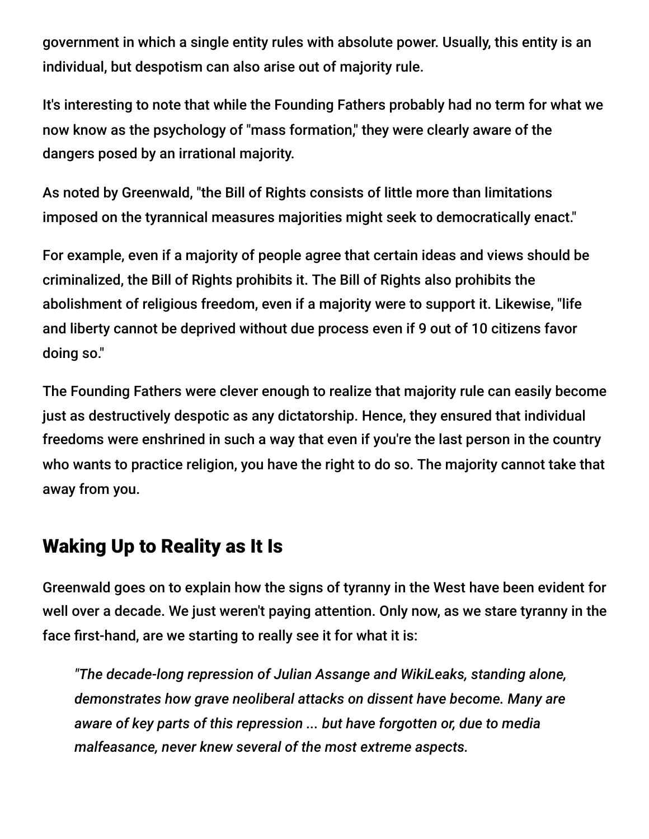government in which a single entity rules with absolute power. Usually, this entity is an individual, but despotism can also arise out of majority rule.

It's interesting to note that while the Founding Fathers probably had no term for what we now know as the psychology of "mass formation," they were clearly aware of the dangers posed by an irrational majority.

As noted by Greenwald, "the Bill of Rights consists of little more than limitations imposed on the tyrannical measures majorities might seek to democratically enact."

For example, even if a majority of people agree that certain ideas and views should be criminalized, the Bill of Rights prohibits it. The Bill of Rights also prohibits the abolishment of religious freedom, even if a majority were to support it. Likewise, "life and liberty cannot be deprived without due process even if 9 out of 10 citizens favor doing so."

The Founding Fathers were clever enough to realize that majority rule can easily become just as destructively despotic as any dictatorship. Hence, they ensured that individual freedoms were enshrined in such a way that even if you're the last person in the country who wants to practice religion, you have the right to do so. The majority cannot take that away from you.

#### Waking Up to Reality as It Is

Greenwald goes on to explain how the signs of tyranny in the West have been evident for well over a decade. We just weren't paying attention. Only now, as we stare tyranny in the face first-hand, are we starting to really see it for what it is:

*"The decade-long repression of Julian Assange and WikiLeaks, standing alone, demonstrates how grave neoliberal attacks on dissent have become. Many are aware of key parts of this repression ... but have forgotten or, due to media malfeasance, never knew several of the most extreme aspects.*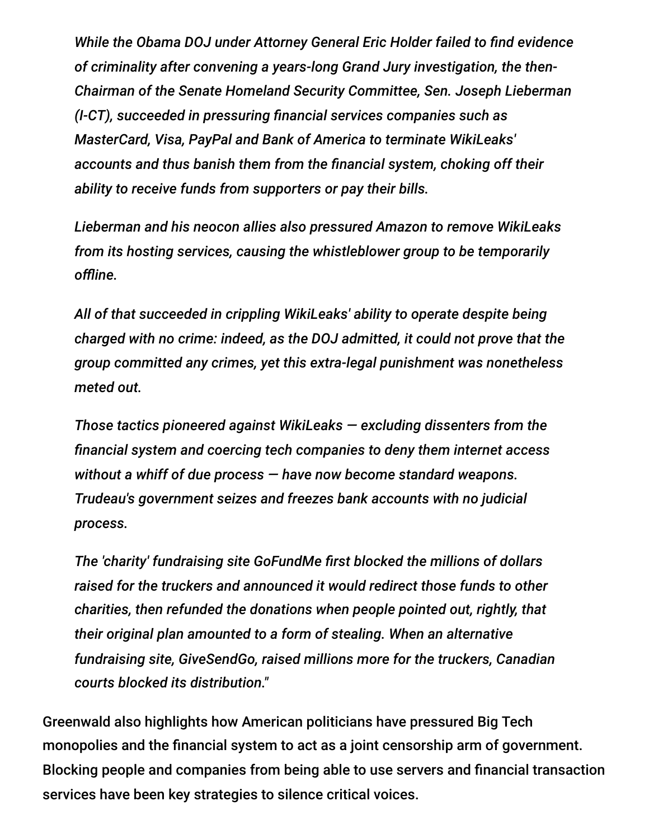*While the Obama DOJ under Attorney General Eric Holder failed to find evidence of criminality after convening a years-long Grand Jury investigation, the then-Chairman of the Senate Homeland Security Committee, Sen. Joseph Lieberman (I-CT), succeeded in pressuring financial services companies such as MasterCard, Visa, PayPal and Bank of America to terminate WikiLeaks' accounts and thus banish them from the financial system, choking off their ability to receive funds from supporters or pay their bills.*

*Lieberman and his neocon allies also pressured Amazon to remove WikiLeaks from its hosting services, causing the whistleblower group to be temporarily offline.*

*All of that succeeded in crippling WikiLeaks' ability to operate despite being charged with no crime: indeed, as the DOJ admitted, it could not prove that the group committed any crimes, yet this extra-legal punishment was nonetheless meted out.*

*Those tactics pioneered against WikiLeaks — excluding dissenters from the financial system and coercing tech companies to deny them internet access without a whiff of due process — have now become standard weapons. Trudeau's government seizes and freezes bank accounts with no judicial process.*

*The 'charity' fundraising site GoFundMe first blocked the millions of dollars raised for the truckers and announced it would redirect those funds to other charities, then refunded the donations when people pointed out, rightly, that their original plan amounted to a form of stealing. When an alternative fundraising site, GiveSendGo, raised millions more for the truckers, Canadian courts blocked its distribution."*

Greenwald also highlights how American politicians have pressured Big Tech monopolies and the financial system to act as a joint censorship arm of government. Blocking people and companies from being able to use servers and financial transaction services have been key strategies to silence critical voices.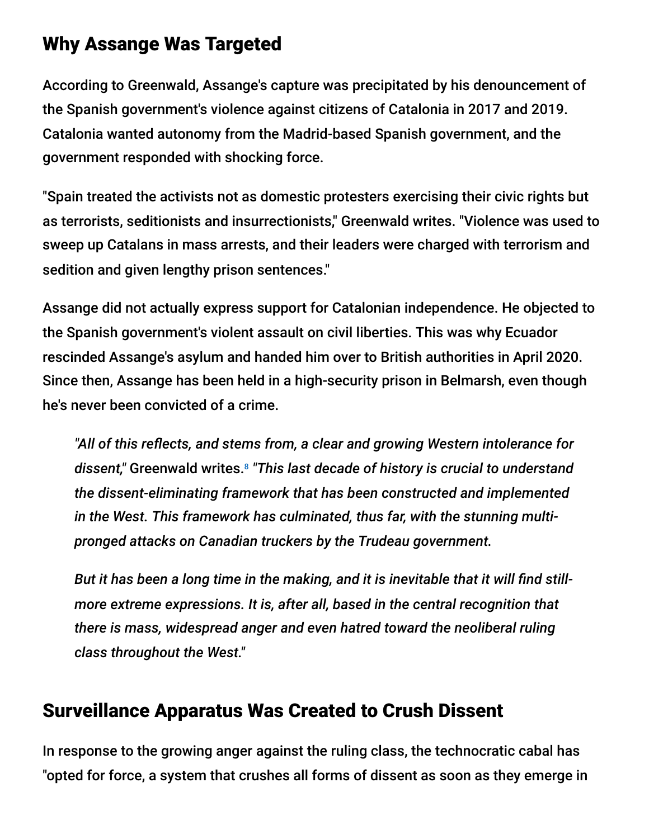#### Why Assange Was Targeted

According to Greenwald, Assange's capture was precipitated by his denouncement of the Spanish government's violence against citizens of Catalonia in 2017 and 2019. Catalonia wanted autonomy from the Madrid-based Spanish government, and the government responded with shocking force.

"Spain treated the activists not as domestic protesters exercising their civic rights but as terrorists, seditionists and insurrectionists," Greenwald writes. "Violence was used to sweep up Catalans in mass arrests, and their leaders were charged with terrorism and sedition and given lengthy prison sentences."

Assange did not actually express support for Catalonian independence. He objected to the Spanish government's violent assault on civil liberties. This was why Ecuador rescinded Assange's asylum and handed him over to British authorities in April 2020. Since then, Assange has been held in a high-security prison in Belmarsh, even though he's never been convicted of a crime.

*"All of this reflects, and stems from, a clear and growing Western intolerance for dissent,"* Greenwald writes. *"This last decade of history is crucial to understand* 8*the dissent-eliminating framework that has been constructed and implemented in the West. This framework has culminated, thus far, with the stunning multipronged attacks on Canadian truckers by the Trudeau government.*

*But it has been a long time in the making, and it is inevitable that it will find stillmore extreme expressions. It is, after all, based in the central recognition that there is mass, widespread anger and even hatred toward the neoliberal ruling class throughout the West."*

#### Surveillance Apparatus Was Created to Crush Dissent

In response to the growing anger against the ruling class, the technocratic cabal has "opted for force, a system that crushes all forms of dissent as soon as they emerge in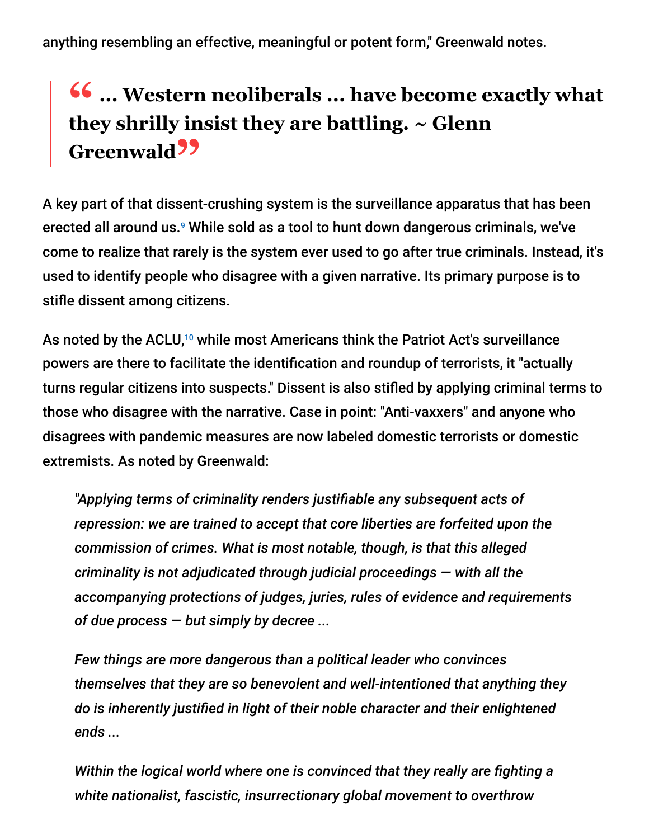anything resembling an effective, meaningful or potent form," Greenwald notes.

# **46** ... Western neoliberals ... have become exactly what they show that they are battling  $\sim$  Glenn **they shrilly insist they are battling. ~ Glenn Greenwald"**

A key part of that dissent-crushing system is the surveillance apparatus that has been erected all around us.<sup>9</sup> While sold as a tool to hunt down dangerous criminals, we've come to realize that rarely is the system ever used to go after true criminals. Instead, it's used to identify people who disagree with a given narrative. Its primary purpose is to stifle dissent among citizens.

As noted by the ACLU,<sup>10</sup> while most Americans think the Patriot Act's surveillance powers are there to facilitate the identification and roundup of terrorists, it "actually turns regular citizens into suspects." Dissent is also stifled by applying criminal terms to those who disagree with the narrative. Case in point: "Anti-vaxxers" and anyone who disagrees with pandemic measures are now labeled domestic terrorists or domestic extremists. As noted by Greenwald:

*"Applying terms of criminality renders justifiable any subsequent acts of repression: we are trained to accept that core liberties are forfeited upon the commission of crimes. What is most notable, though, is that this alleged criminality is not adjudicated through judicial proceedings — with all the accompanying protections of judges, juries, rules of evidence and requirements of due process — but simply by decree ...*

*Few things are more dangerous than a political leader who convinces themselves that they are so benevolent and well-intentioned that anything they do is inherently justified in light of their noble character and their enlightened ends ...*

*Within the logical world where one is convinced that they really are fighting a white nationalist, fascistic, insurrectionary global movement to overthrow*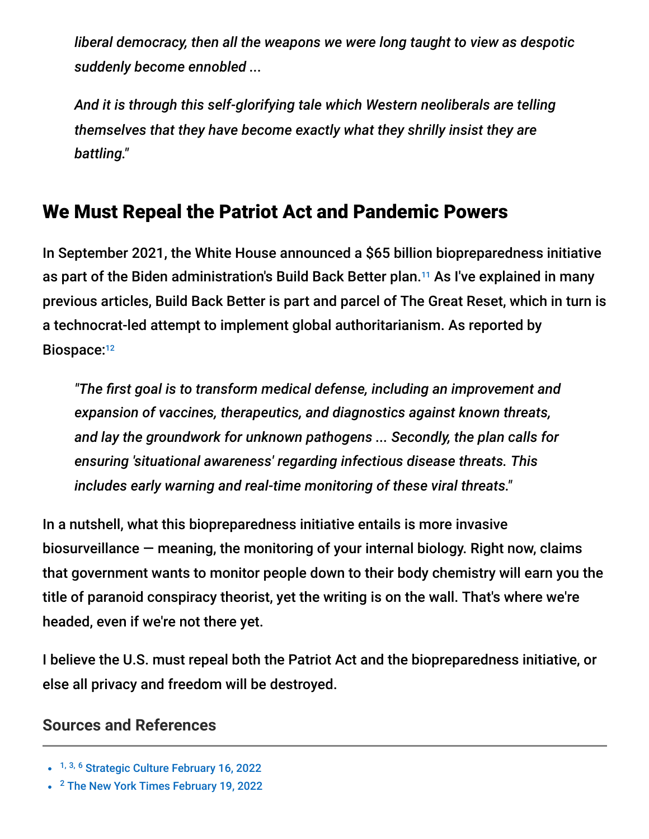*liberal democracy, then all the weapons we were long taught to view as despotic suddenly become ennobled ...*

*And it is through this self-glorifying tale which Western neoliberals are telling themselves that they have become exactly what they shrilly insist they are battling."*

#### We Must Repeal the Patriot Act and Pandemic Powers

In September 2021, the White House announced a \$65 billion biopreparedness initiative as part of the Biden administration's Build Back Better plan.<sup>11</sup> As I've explained in many previous articles, Build Back Better is part and parcel of The Great Reset, which in turn is a technocrat-led attempt to implement global authoritarianism. As reported by Biospace: 12

*"The first goal is to transform medical defense, including an improvement and expansion of vaccines, therapeutics, and diagnostics against known threats, and lay the groundwork for unknown pathogens ... Secondly, the plan calls for ensuring 'situational awareness' regarding infectious disease threats. This includes early warning and real-time monitoring of these viral threats."*

In a nutshell, what this biopreparedness initiative entails is more invasive biosurveillance — meaning, the monitoring of your internal biology. Right now, claims that government wants to monitor people down to their body chemistry will earn you the title of paranoid conspiracy theorist, yet the writing is on the wall. That's where we're headed, even if we're not there yet.

I believe the U.S. must repeal both the Patriot Act and the biopreparedness initiative, or else all privacy and freedom will be destroyed.

#### **Sources and References**

<sup>&</sup>lt;sup>1, 3, 6</sup> [Strategic Culture February 16, 2022](https://www.strategic-culture.org/news/2022/02/16/there-is-limit-to-tyrants-power-ottawa-freedom-convoy-tears-down-illusion-democracy-north-america/)

<sup>&</sup>lt;sup>2</sup> [The New York Times February 19, 2022](https://www.nytimes.com/2022/02/19/world/canada/canada-truckers-arrested.html)